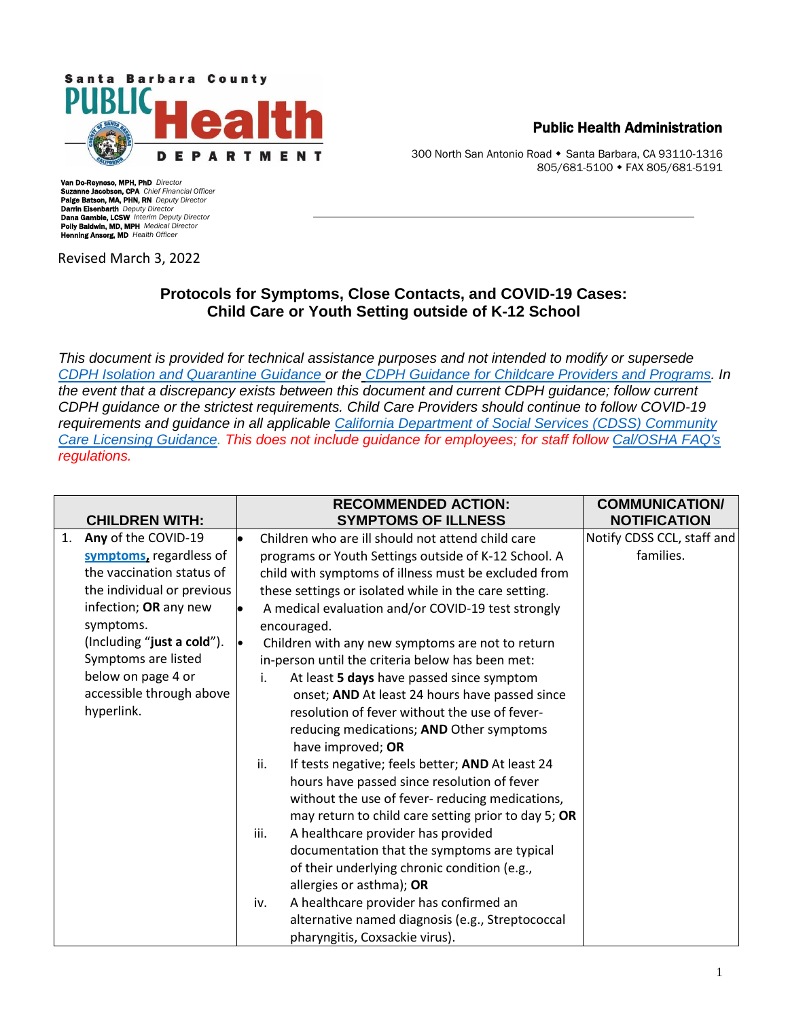

Public Health Administration

300 North San Antonio Road • Santa Barbara, CA 93110-1316 805/681-5100 FAX 805/681-5191

Van Do-Reynoso, MPH, PhD *Director* Suzanne Jacobson, CPA *Chief Financial Officer* Paige Batson, MA, PHN, RN *Deputy Director* Darrin Eisenbarth *Deputy Director* Dana Gamble, LCSW *Interim Deputy Director* Polly Baldwin, MD, MPH *Medical Director* Henning Ansorg, MD *Health Officer*

Revised March 3, 2022

## **Protocols for Symptoms, Close Contacts, and COVID-19 Cases: Child Care or Youth Setting outside of K-12 School**

*This document is provided for technical assistance purposes and not intended to modify or supersede [CDPH Isolation and Quarantine](https://www.cdph.ca.gov/Programs/CID/DCDC/Pages/COVID-19/Guidance-on-Isolation-and-Quarantine-for-COVID-19-Contact-Tracing.aspx) Guidance or the [CDPH Guidance for Childcare Providers and Programs.](https://www.cdph.ca.gov/Programs/CID/DCDC/Pages/COVID-19/Child-Care-Guidance.aspx) In the event that a discrepancy exists between this document and current CDPH guidance; follow current CDPH guidance or the strictest requirements. Child Care Providers should continue to follow COVID-19 requirements and guidance in all applicable [California Department of Social Services \(CDSS\) Community](https://www.cdss.ca.gov/inforesources/child-care-licensing)  [Care Licensing Guidance.](https://www.cdss.ca.gov/inforesources/child-care-licensing) This does not include guidance for employees; for staff follow [Cal/OSHA FAQ's](https://www.dir.ca.gov/dosh/coronavirus/COVID19FAQs.html) regulations.*

|    | <b>CHILDREN WITH:</b>      |           | <b>RECOMMENDED ACTION:</b><br><b>SYMPTOMS OF ILLNESS</b> | <b>COMMUNICATION/</b><br><b>NOTIFICATION</b> |
|----|----------------------------|-----------|----------------------------------------------------------|----------------------------------------------|
| 1. | Any of the COVID-19        | $\bullet$ | Children who are ill should not attend child care        | Notify CDSS CCL, staff and                   |
|    | symptoms, regardless of    |           | programs or Youth Settings outside of K-12 School. A     | families.                                    |
|    | the vaccination status of  |           | child with symptoms of illness must be excluded from     |                                              |
|    | the individual or previous |           | these settings or isolated while in the care setting.    |                                              |
|    | infection; OR any new      |           | A medical evaluation and/or COVID-19 test strongly       |                                              |
|    | symptoms.                  |           | encouraged.                                              |                                              |
|    | (Including "just a cold"). | l.        | Children with any new symptoms are not to return         |                                              |
|    | Symptoms are listed        |           | in-person until the criteria below has been met:         |                                              |
|    | below on page 4 or         |           | At least 5 days have passed since symptom<br>i.          |                                              |
|    | accessible through above   |           | onset; AND At least 24 hours have passed since           |                                              |
|    | hyperlink.                 |           | resolution of fever without the use of fever-            |                                              |
|    |                            |           | reducing medications; AND Other symptoms                 |                                              |
|    |                            |           | have improved; OR                                        |                                              |
|    |                            |           | ii.<br>If tests negative; feels better; AND At least 24  |                                              |
|    |                            |           | hours have passed since resolution of fever              |                                              |
|    |                            |           | without the use of fever- reducing medications,          |                                              |
|    |                            |           | may return to child care setting prior to day 5; OR      |                                              |
|    |                            |           | A healthcare provider has provided<br>iii.               |                                              |
|    |                            |           | documentation that the symptoms are typical              |                                              |
|    |                            |           | of their underlying chronic condition (e.g.,             |                                              |
|    |                            |           | allergies or asthma); OR                                 |                                              |
|    |                            |           | A healthcare provider has confirmed an<br>iv.            |                                              |
|    |                            |           | alternative named diagnosis (e.g., Streptococcal         |                                              |
|    |                            |           | pharyngitis, Coxsackie virus).                           |                                              |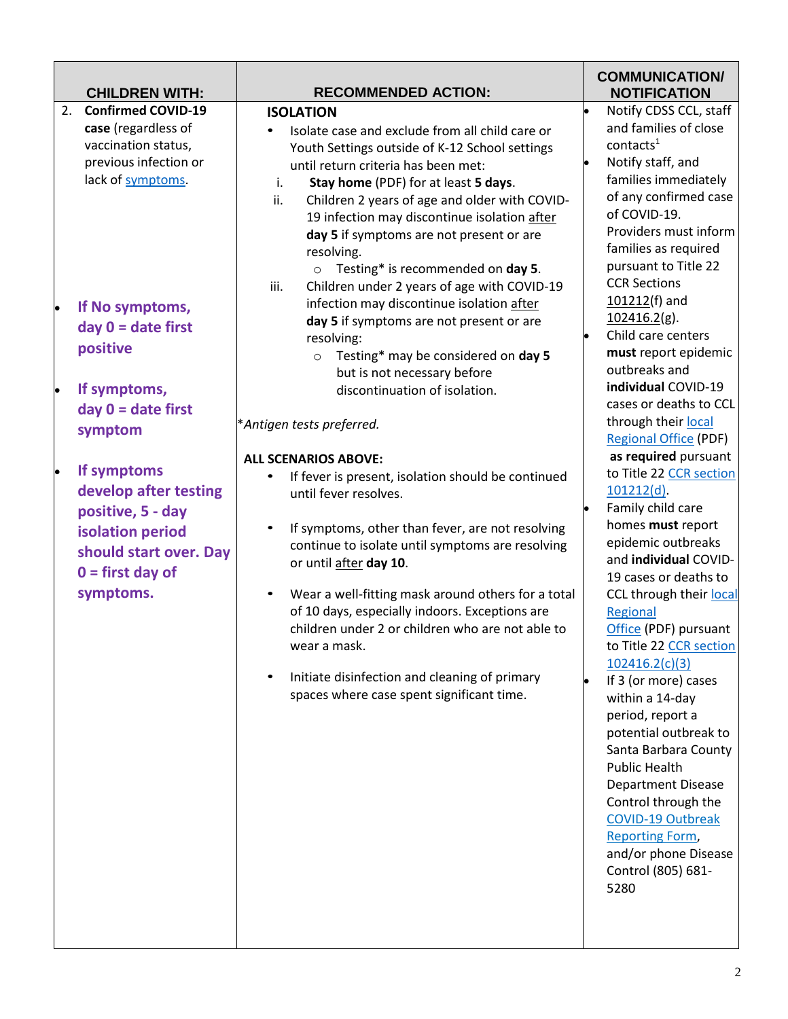| <b>CHILDREN WITH:</b>                                                                                                                                                                                                                                                                                                                                                                    | <b>RECOMMENDED ACTION:</b>                                                                                                                                                                                                                                                                                                                                                                                                                                                                                                                                                                                                                                                                                                                                                                                                                                                                                                                                                                                                                                                                                                                                                                                                                                                                 | <b>COMMUNICATION/</b><br><b>NOTIFICATION</b>                                                                                                                                                                                                                                                                                                                                                                                                                                                                                                                                                                                                                                                                                                                                                                                                                                                                                                   |
|------------------------------------------------------------------------------------------------------------------------------------------------------------------------------------------------------------------------------------------------------------------------------------------------------------------------------------------------------------------------------------------|--------------------------------------------------------------------------------------------------------------------------------------------------------------------------------------------------------------------------------------------------------------------------------------------------------------------------------------------------------------------------------------------------------------------------------------------------------------------------------------------------------------------------------------------------------------------------------------------------------------------------------------------------------------------------------------------------------------------------------------------------------------------------------------------------------------------------------------------------------------------------------------------------------------------------------------------------------------------------------------------------------------------------------------------------------------------------------------------------------------------------------------------------------------------------------------------------------------------------------------------------------------------------------------------|------------------------------------------------------------------------------------------------------------------------------------------------------------------------------------------------------------------------------------------------------------------------------------------------------------------------------------------------------------------------------------------------------------------------------------------------------------------------------------------------------------------------------------------------------------------------------------------------------------------------------------------------------------------------------------------------------------------------------------------------------------------------------------------------------------------------------------------------------------------------------------------------------------------------------------------------|
| <b>Confirmed COVID-19</b><br>2.<br>case (regardless of<br>vaccination status,<br>previous infection or<br>lack of symptoms.<br>If No symptoms,<br>day $0 =$ date first<br>positive<br>If symptoms,<br>þ<br>$day 0 = date first$<br>symptom<br>If symptoms<br>develop after testing<br>positive, 5 - day<br>isolation period<br>should start over. Day<br>$0 =$ first day of<br>symptoms. | <b>ISOLATION</b><br>Isolate case and exclude from all child care or<br>Youth Settings outside of K-12 School settings<br>until return criteria has been met:<br>i.<br>Stay home (PDF) for at least 5 days.<br>ii.<br>Children 2 years of age and older with COVID-<br>19 infection may discontinue isolation after<br>day 5 if symptoms are not present or are<br>resolving.<br>$\circ$ Testing* is recommended on day 5.<br>Children under 2 years of age with COVID-19<br>iii.<br>infection may discontinue isolation after<br>day 5 if symptoms are not present or are<br>resolving:<br>Testing* may be considered on day 5<br>$\circ$<br>but is not necessary before<br>discontinuation of isolation.<br>*Antigen tests preferred.<br><b>ALL SCENARIOS ABOVE:</b><br>If fever is present, isolation should be continued<br>$\bullet$<br>until fever resolves.<br>If symptoms, other than fever, are not resolving<br>continue to isolate until symptoms are resolving<br>or until after day 10.<br>Wear a well-fitting mask around others for a total<br>$\bullet$<br>of 10 days, especially indoors. Exceptions are<br>children under 2 or children who are not able to<br>wear a mask.<br>Initiate disinfection and cleaning of primary<br>spaces where case spent significant time. | Notify CDSS CCL, staff<br>and families of close<br>contacts <sup>1</sup><br>Notify staff, and<br>families immediately<br>of any confirmed case<br>of COVID-19.<br>Providers must inform<br>families as required<br>pursuant to Title 22<br><b>CCR Sections</b><br>101212(f) and<br>102416.2(g).<br>Child care centers<br>must report epidemic<br>outbreaks and<br>individual COVID-19<br>cases or deaths to CCL<br>through their local<br><b>Regional Office (PDF)</b><br>as required pursuant<br>to Title 22 CCR section<br>$101212(d)$ .<br>Family child care<br>homes must report<br>epidemic outbreaks<br>and individual COVID-<br>19 cases or deaths to<br>CCL through their local<br>Regional<br>Office (PDF) pursuant<br>to Title 22 CCR section<br>102416.2(c)(3)<br>If 3 (or more) cases<br>within a 14-day<br>period, report a<br>potential outbreak to<br>Santa Barbara County<br><b>Public Health</b><br><b>Department Disease</b> |
|                                                                                                                                                                                                                                                                                                                                                                                          |                                                                                                                                                                                                                                                                                                                                                                                                                                                                                                                                                                                                                                                                                                                                                                                                                                                                                                                                                                                                                                                                                                                                                                                                                                                                                            | Control through the<br><b>COVID-19 Outbreak</b><br><b>Reporting Form,</b><br>and/or phone Disease<br>Control (805) 681-<br>5280                                                                                                                                                                                                                                                                                                                                                                                                                                                                                                                                                                                                                                                                                                                                                                                                                |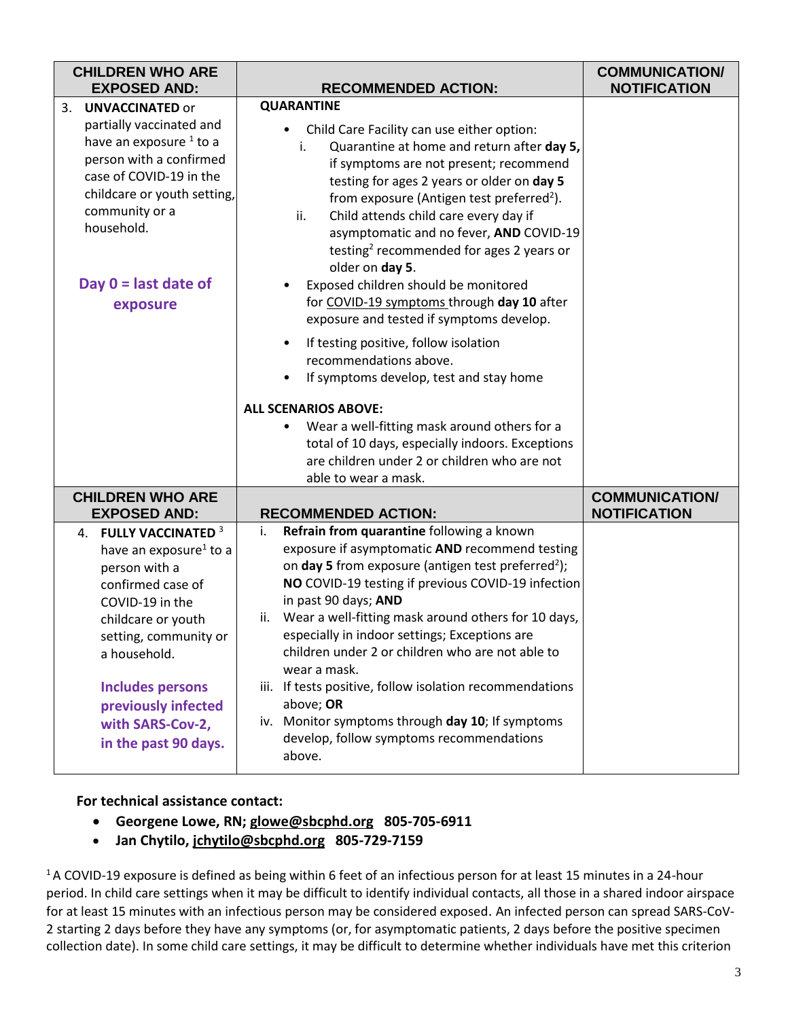| <b>CHILDREN WHO ARE</b><br><b>EXPOSED AND:</b>                                                                                                                                                                                                                                    | <b>RECOMMENDED ACTION:</b>                                                                                                                                                                                                                                                                                                                                                                                                                                                                                                                                                                                                         | <b>COMMUNICATION/</b><br><b>NOTIFICATION</b> |
|-----------------------------------------------------------------------------------------------------------------------------------------------------------------------------------------------------------------------------------------------------------------------------------|------------------------------------------------------------------------------------------------------------------------------------------------------------------------------------------------------------------------------------------------------------------------------------------------------------------------------------------------------------------------------------------------------------------------------------------------------------------------------------------------------------------------------------------------------------------------------------------------------------------------------------|----------------------------------------------|
| <b>UNVACCINATED or</b><br>3.<br>partially vaccinated and<br>have an exposure <sup>1</sup> to a<br>person with a confirmed<br>case of COVID-19 in the<br>childcare or youth setting,<br>community or a<br>household.<br>Day $0 =$ last date of<br>exposure                         | <b>QUARANTINE</b><br>Child Care Facility can use either option:<br>Quarantine at home and return after day 5,<br>i.<br>if symptoms are not present; recommend<br>testing for ages 2 years or older on day 5<br>from exposure (Antigen test preferred <sup>2</sup> ).<br>Child attends child care every day if<br>ii.<br>asymptomatic and no fever, AND COVID-19<br>testing <sup>2</sup> recommended for ages 2 years or<br>older on day 5.<br>Exposed children should be monitored<br>for COVID-19 symptoms through day 10 after<br>exposure and tested if symptoms develop.<br>If testing positive, follow isolation<br>$\bullet$ |                                              |
|                                                                                                                                                                                                                                                                                   | recommendations above.<br>If symptoms develop, test and stay home<br><b>ALL SCENARIOS ABOVE:</b><br>Wear a well-fitting mask around others for a<br>$\bullet$<br>total of 10 days, especially indoors. Exceptions<br>are children under 2 or children who are not<br>able to wear a mask.                                                                                                                                                                                                                                                                                                                                          |                                              |
| <b>CHILDREN WHO ARE</b><br><b>EXPOSED AND:</b>                                                                                                                                                                                                                                    | <b>RECOMMENDED ACTION:</b>                                                                                                                                                                                                                                                                                                                                                                                                                                                                                                                                                                                                         | <b>COMMUNICATION/</b><br><b>NOTIFICATION</b> |
| 4. FULLY VACCINATED 3<br>have an exposure <sup>1</sup> to a<br>person with a<br>confirmed case of<br>COVID-19 in the<br>childcare or youth<br>setting, community or<br>a household.<br><b>Includes persons</b><br>previously infected<br>with SARS-Cov-2,<br>in the past 90 days. | Refrain from quarantine following a known<br>i.<br>exposure if asymptomatic AND recommend testing<br>on day 5 from exposure (antigen test preferred <sup>2</sup> );<br>NO COVID-19 testing if previous COVID-19 infection<br>in past 90 days; AND<br>ii. Wear a well-fitting mask around others for 10 days,<br>especially in indoor settings; Exceptions are<br>children under 2 or children who are not able to<br>wear a mask.<br>iii. If tests positive, follow isolation recommendations<br>above; OR<br>iv. Monitor symptoms through day 10; If symptoms<br>develop, follow symptoms recommendations<br>above.               |                                              |

## **For technical assistance contact:**

- **Georgene Lowe, RN; [glowe@sbcphd.org](mailto:glowe@sbcphd.org) 805-705-6911**
- **Jan Chytilo, [jchytilo@sbcphd.org](mailto:jchytilo@sbcphd.org/f) 805-729-7159**

<sup>1</sup>A COVID-19 exposure is defined as being within 6 feet of an infectious person for at least 15 minutes in a 24-hour period. In child care settings when it may be difficult to identify individual contacts, all those in a shared indoor airspace for at least 15 minutes with an infectious person may be considered exposed. An infected person can spread SARS-CoV-2 starting 2 days before they have any symptoms (or, for asymptomatic patients, 2 days before the positive specimen collection date). In some child care settings, it may be difficult to determine whether individuals have met this criterion